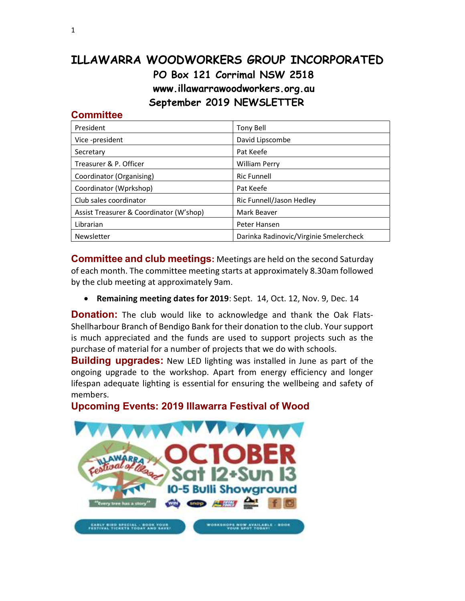# ILLAWARRA WOODWORKERS GROUP INCORPORATED PO Box 121 Corrimal NSW 2518 www.illawarrawoodworkers.org.au September 2019 NEWSLETTER

### **Committee**

| President                               | Tony Bell                              |
|-----------------------------------------|----------------------------------------|
| Vice -president                         | David Lipscombe                        |
| Secretary                               | Pat Keefe                              |
| Treasurer & P. Officer                  | <b>William Perry</b>                   |
| Coordinator (Organising)                | <b>Ric Funnell</b>                     |
| Coordinator (Wprkshop)                  | Pat Keefe                              |
| Club sales coordinator                  | Ric Funnell/Jason Hedley               |
| Assist Treasurer & Coordinator (W'shop) | Mark Beaver                            |
| Librarian                               | Peter Hansen                           |
| Newsletter                              | Darinka Radinovic/Virginie Smelercheck |

**Committee and club meetings:** Meetings are held on the second Saturday of each month. The committee meeting starts at approximately 8.30am followed by the club meeting at approximately 9am.

• Remaining meeting dates for 2019: Sept. 14, Oct. 12, Nov. 9, Dec. 14

**Donation:** The club would like to acknowledge and thank the Oak Flats-Shellharbour Branch of Bendigo Bank for their donation to the club. Your support is much appreciated and the funds are used to support projects such as the purchase of material for a number of projects that we do with schools.

**Building upgrades:** New LED lighting was installed in June as part of the ongoing upgrade to the workshop. Apart from energy efficiency and longer lifespan adequate lighting is essential for ensuring the wellbeing and safety of members.

Upcoming Events: 2019 Illawarra Festival of Wood

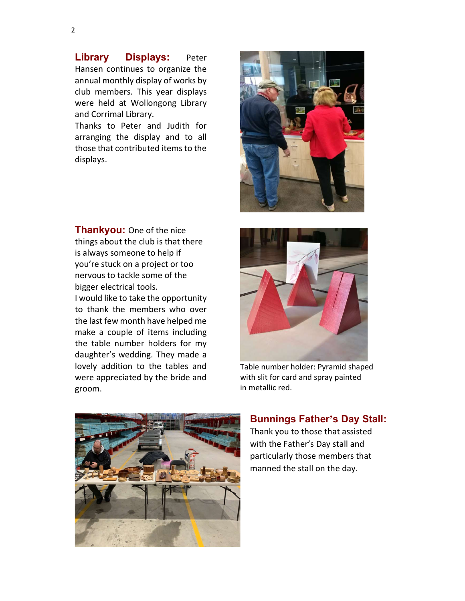Library Displays: Peter Hansen continues to organize the annual monthly display of works by club members. This year displays were held at Wollongong Library and Corrimal Library.

Thanks to Peter and Judith for arranging the display and to all those that contributed items to the displays.



Thankyou: One of the nice things about the club is that there is always someone to help if you're stuck on a project or too nervous to tackle some of the bigger electrical tools.

I would like to take the opportunity to thank the members who over the last few month have helped me make a couple of items including the table number holders for my daughter's wedding. They made a lovely addition to the tables and were appreciated by the bride and groom.



Table number holder: Pyramid shaped with slit for card and spray painted in metallic red.



## Bunnings Father's Day Stall:

Thank you to those that assisted with the Father's Day stall and particularly those members that manned the stall on the day.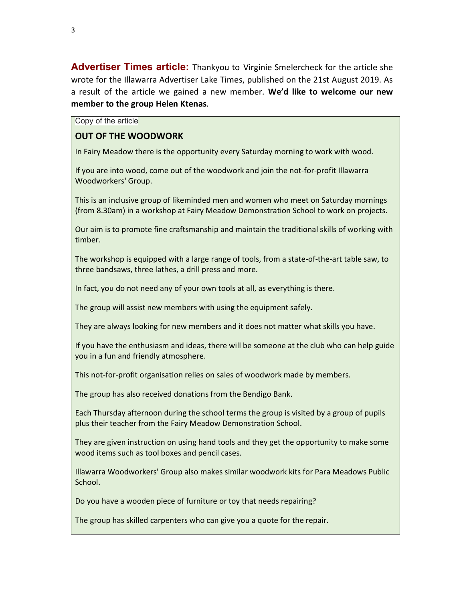Advertiser Times article: Thankyou to Virginie Smelercheck for the article she wrote for the Illawarra Advertiser Lake Times, published on the 21st August 2019. As a result of the article we gained a new member. We'd like to welcome our new member to the group Helen Ktenas.

#### Copy of the article

## OUT OF THE WOODWORK

In Fairy Meadow there is the opportunity every Saturday morning to work with wood.

If you are into wood, come out of the woodwork and join the not-for-profit Illawarra Woodworkers' Group.

This is an inclusive group of likeminded men and women who meet on Saturday mornings (from 8.30am) in a workshop at Fairy Meadow Demonstration School to work on projects.

Our aim is to promote fine craftsmanship and maintain the traditional skills of working with timber.

The workshop is equipped with a large range of tools, from a state-of-the-art table saw, to three bandsaws, three lathes, a drill press and more.

In fact, you do not need any of your own tools at all, as everything is there.

The group will assist new members with using the equipment safely.

They are always looking for new members and it does not matter what skills you have.

If you have the enthusiasm and ideas, there will be someone at the club who can help guide you in a fun and friendly atmosphere.

This not-for-profit organisation relies on sales of woodwork made by members.

The group has also received donations from the Bendigo Bank.

Each Thursday afternoon during the school terms the group is visited by a group of pupils plus their teacher from the Fairy Meadow Demonstration School.

They are given instruction on using hand tools and they get the opportunity to make some wood items such as tool boxes and pencil cases.

Illawarra Woodworkers' Group also makes similar woodwork kits for Para Meadows Public School.

Do you have a wooden piece of furniture or toy that needs repairing?

The group has skilled carpenters who can give you a quote for the repair.